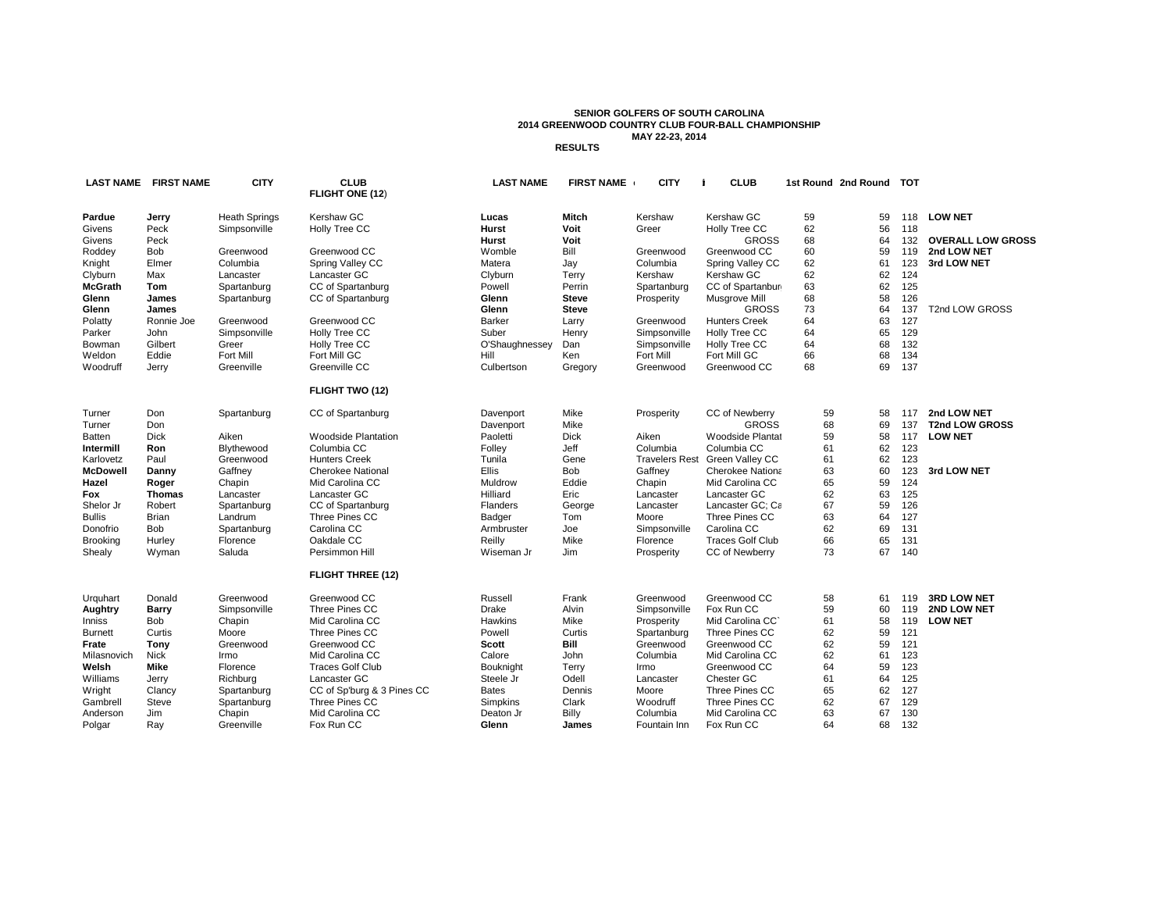## **SENIOR GOLFERS OF SOUTH CAROLINA 2014 GREENWOOD COUNTRY CLUB FOUR-BALL CHAMPIONSHIP MAY 22-23, 2014 RESULTS**

**LAST NAME FIRST NAME CITY CLUB LAST NAME FIRST NAMEIdex CITY statecd email zip CLUB 1st Round 2nd Round TOT FLIGHT ONE (12**) **Pardue Jerry** Heath Springs Kershaw GC **Carry Lucas Mitch K**ershaw Kershaw GC 59 59 118 LO**W NET** Givens Peck Simpsonville Holly Tree CC **Hurst Voit** 2.9 508 Woodstrace Ct. Greer SC29650 voithurst@yahoo.com Holly Tree CC 62 56 118 Givens Peck **Hurst Voit** GROSS 68 64 132 **OVERALL LOW GROSS** Roddey Bob Greenwood Greenwood CC Womble Bill 8.2 307 Gentry Run Greenwood SC29649 bwomble@embarqmail.com Greenwood CC 60 59 119 **2nd LOW NET** Knight Elmer Columbia Spring Valley CC Matera Jay Columbia Spring Valley CC 62 61 123 **3rd LOW NET** Clyburn Max Lancaster Lancaster GC Clyburn Terry 7.8 842 Baxley Pond Rd. Kershaw SC29067 ltclyburn@windstream.net Kershaw GC 62 62 124 **McGrath Tom** Spartanburg CC of Spartanburg **Powell Perrin Spartanburg CC of Spartanburg 63 62** 125 **Glenn James** Spartanburg CC of Spartanburg **Glenn Steve** Prosperity Musgrove Mill 68 58 126 **Glenn James Glenn Steve** GROSS 73 64 137 T2nd LOW GROSS Polatty Ronnie Joe Greenwood Greenwood CC Barker Larry Greenwood Hunters Creek 64 63 127 Parker John Simpsonville Holly Tree CC Suber Henry Simpsonville Holly Tree CC 65 129 Bowman Gilbert Greer Holly Tree CC O'Shaughnessey Dan Simpsonville Holly Tree CC 64 68 132 Weldon Eddie Fort Mill Fort Mill GC – Hill Ken Fort Mill GC 66 68 134 Woodruff Jerry Greenville Greenville CC - Culbertson Gregory Greenwood Greenwood CC 68 - 69 137 **FLIGHT TWO (12)** Turner Don Spartanburg CC of Spartanburg Davenport Mike Prosperity CC of Newberry 59 58 117 2**nd LOW NET** Turner Don Aiken Woodside Plantation Davenport Mike GROSS 68 69 137 T2nd LOW GROSS<br>The Dick Aiken Woodside Plantation Paoletti Dick Aiken Woodside Plantat 59 58 117 LOW NET Batten Dick Aiken Woodside Plantation Paoletti Dick 9.4 50 Juniper Loop Aiken SC29803 pingi2@atlanticbb.net Woodside Plantation 59 58 117 **LOW NET Intermill Ron Blythewood Columbia CC Folley Jeff Columbia Columbia CC 62** Karlovetz Paul Greenwood Hunters Creek Tunila Gene Travelers Rest Green Valley CC 61 62 123 **McDowell Danny** Gaffney Cherokee National Ellis Bob Gaffney Cherokee Nationa 63 60 123 3rd LOW NET **Hazel Roger** Chapin Mid Carolina CC Muldrow Eddie Chapin Mid Carolina CC 65 59 124 **Fox Thomas** Lancaster Lancaster GC 1111 Hilliard Eric Lancaster Lancaster GC 62 63 125 Shelor Jr Robert Spartanburg CC of Spartanburg Flanders George Lancaster Lancaster GC; Camden CC67 59 126 Bullis Brian Landrum Three Pines CC Badger Tom Moore Three Pines CC 63 64 127 Donofrio Bob Spartanburg Carolina CC Armbruster Joe Simpsonville Carolina CC 62 69 131 Brooking Hurley Florence Oakdale CC Reilly Mike 12.3 3006 Japonica Lane Florence SC29501 reillymike@hotmail.com Traces Golf Club 66 65 131 Shealy Wyman Saluda Persimmon Hill Wiseman Jr Jim Prosperity CC of Newberry 73 67 140 **FLIGHT THREE (12)** Urquhart Donald Greenwood Greenwood CC Russell Frank Greenwood Greenwood CC 58 61 119 **3RD LOW NET Aughtry Barry** Simpsonville Three Pines CC Drake Alvin Simpsonville Fox Run CC 59 60 119 **2ND LOW NET** Inniss Bob Chapin Mid Carolina CC Hawkins Mike Prosperity Mid Carolina CC` 61 58 119 L**OW NET** Burnett Curtis Moore Three Pines CC Powell Curtis Spartanburg Three Pines CC 62 59 121 **Frate Tony** Greenwood Greenwood CC **Scott Bill** Greenwood Greenwood CC 62 59 121 Milasnovich Nick Irmo Mid Carolina CC Calore John 1259 Shadow Brook Dr. Columbia SC29210jcalore@sc.rr.com Mid Carolina CC 62 61 123 **Welsh Mike** Florence Traces Golf Club Bouknight Terry Irmo Greenwood CC 64 59 123 Williams Jerry Richburg Lancaster GC Steele Jr Odell 9.1 PO Box 1107 Lancaster SC29721 odell@steelesheatingandair.com Chester GC 61 64 125 Wright Clancy Spartanburg CC of Sp'burg & 3 Pines CC Bates Dennis Moore Three Pines CC 65 62 127<br>Gambrell Steve Spartanburg Three Pines CC Simpkins Clark Woodruff Three Pines CC 62 67 129 Gambrell Steve Spartanburg Three Pines CC Simpkins Clark Woodruff Three Pines CC 62 67 129 Anderson Jim Chapin Mid Carolina CC Deaton Jr Billy Columbia Mid Carolina CC 63 67 130 Polgar Ray Greenville Fox Run CC **Glenn James** 15.2 232 Pheasant Way Fountain Inn SC29644 smokey.glenn@gmail.com Fox Run CC 64 68 132